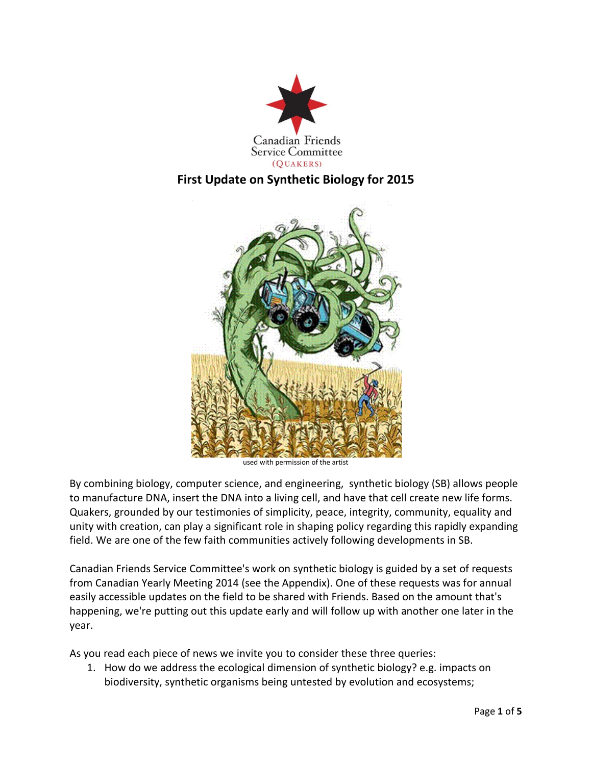



used with permission of the artist

By combining biology, computer science, and engineering, synthetic biology (SB) allows people to manufacture DNA, insert the DNA into a living cell, and have that cell create new life forms. Quakers, grounded by our testimonies of simplicity, peace, integrity, community, equality and unity with creation, can play a significant role in shaping policy regarding this rapidly expanding field. We are one of the few faith communities actively following developments in SB.

Canadian Friends Service Committee's work on synthetic biology is guided by a set of requests from Canadian Yearly Meeting 2014 (see the Appendix). One of these requests was for annual easily accessible updates on the field to be shared with Friends. Based on the amount that's happening, we're putting out this update early and will follow up with another one later in the year.

As you read each piece of news we invite you to consider these three queries:

1. How do we address the ecological dimension of synthetic biology? e.g. impacts on biodiversity, synthetic organisms being untested by evolution and ecosystems;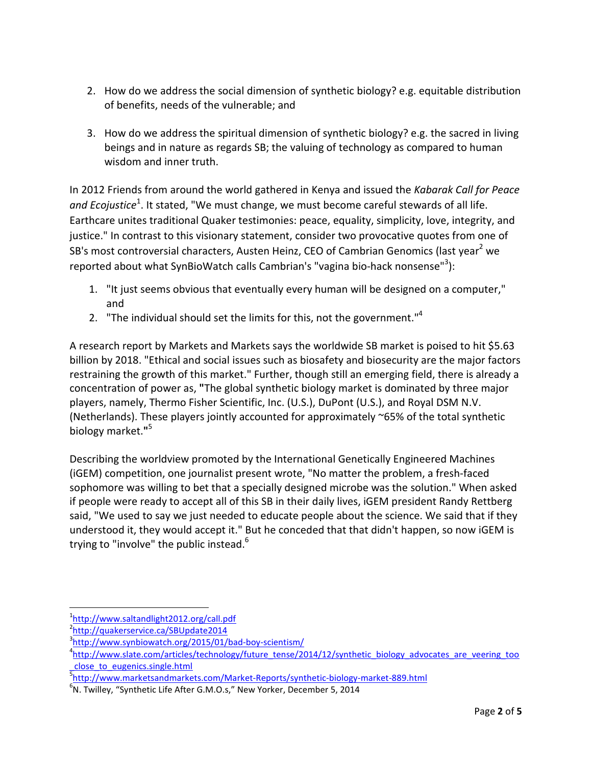- 2. How do we address the social dimension of synthetic biology? e.g. equitable distribution of benefits, needs of the vulnerable; and
- 3. How do we address the spiritual dimension of synthetic biology? e.g. the sacred in living beings and in nature as regards SB; the valuing of technology as compared to human wisdom and inner truth.

In 2012 Friends from around the world gathered in Kenya and issued the *Kabarak Call for Peace*  and Ecojustice<sup>1</sup>. It stated, "We must change, we must become careful stewards of all life. Earthcare unites traditional Quaker testimonies: peace, equality, simplicity, love, integrity, and justice." In contrast to this visionary statement, consider two provocative quotes from one of SB's most controversial characters, Austen Heinz, CEO of Cambrian Genomics (last year<sup>2</sup> we reported about what SynBioWatch calls Cambrian's "vagina bio-hack nonsense"<sup>3</sup>):

- 1. "It just seems obvious that eventually every human will be designed on a computer," and
- 2. "The individual should set the limits for this, not the government."<sup>4</sup>

A research report by Markets and Markets says the worldwide SB market is poised to hit \$5.63 billion by 2018. "Ethical and social issues such as biosafety and biosecurity are the major factors restraining the growth of this market." Further, though still an emerging field, there is already a concentration of power as, **"**The global synthetic biology market is dominated by three major players, namely, Thermo Fisher Scientific, Inc. (U.S.), DuPont (U.S.), and Royal DSM N.V. (Netherlands). These players jointly accounted for approximately ~65% of the total synthetic biology market.**"** 5

Describing the worldview promoted by the International Genetically Engineered Machines (iGEM) competition, one journalist present wrote, "No matter the problem, a fresh-faced sophomore was willing to bet that a specially designed microbe was the solution." When asked if people were ready to accept all of this SB in their daily lives, iGEM president Randy Rettberg said, "We used to say we just needed to educate people about the science. We said that if they understood it, they would accept it." But he conceded that that didn't happen, so now iGEM is trying to "involve" the public instead.<sup>6</sup>

<u>.</u>

<sup>1</sup> http://www.saltandlight2012.org/call.pdf

<sup>2</sup> http://quakerservice.ca/SBUpdate2014

<sup>3</sup> http://www.synbiowatch.org/2015/01/bad-boy-scientism/

<sup>&</sup>lt;sup>4</sup>http://www.slate.com/articles/technology/future\_tense/2014/12/synthetic\_biology\_advocates\_are\_veering\_too \_close\_to\_eugenics.single.html

<sup>5</sup> http://www.marketsandmarkets.com/Market-Reports/synthetic-biology-market-889.html

 $^6$ N. Twilley, "Synthetic Life After G.M.O.s," New Yorker, December 5, 2014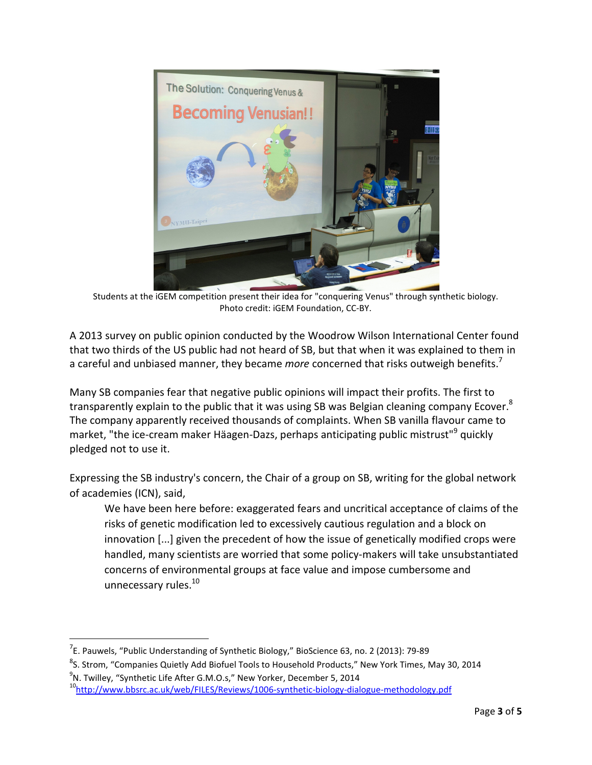

Students at the iGEM competition present their idea for "conquering Venus" through synthetic biology. Photo credit: iGEM Foundation, CC-BY.

A 2013 survey on public opinion conducted by the Woodrow Wilson International Center found that two thirds of the US public had not heard of SB, but that when it was explained to them in a careful and unbiased manner, they became *more* concerned that risks outweigh benefits.<sup>7</sup>

Many SB companies fear that negative public opinions will impact their profits. The first to transparently explain to the public that it was using SB was Belgian cleaning company Ecover.<sup>8</sup> The company apparently received thousands of complaints. When SB vanilla flavour came to market, "the ice-cream maker Häagen-Dazs, perhaps anticipating public mistrust"<sup>9</sup> quickly pledged not to use it.

Expressing the SB industry's concern, the Chair of a group on SB, writing for the global network of academies (ICN), said,

We have been here before: exaggerated fears and uncritical acceptance of claims of the risks of genetic modification led to excessively cautious regulation and a block on innovation [...] given the precedent of how the issue of genetically modified crops were handled, many scientists are worried that some policy-makers will take unsubstantiated concerns of environmental groups at face value and impose cumbersome and unnecessary rules.<sup>10</sup>

.<br>-

 $7$ E. Pauwels, "Public Understanding of Synthetic Biology," BioScience 63, no. 2 (2013): 79-89

<sup>&</sup>lt;sup>8</sup>S. Strom, "Companies Quietly Add Biofuel Tools to Household Products," New York Times, May 30, 2014

 $^9$ N. Twilley, "Synthetic Life After G.M.O.s," New Yorker, December 5, 2014

<sup>&</sup>lt;sup>10</sup>http://ww<u>w.bbsrc.ac.uk/web/FILES/Reviews/1006-synthetic-biology-dialogue-methodology.pdf</u>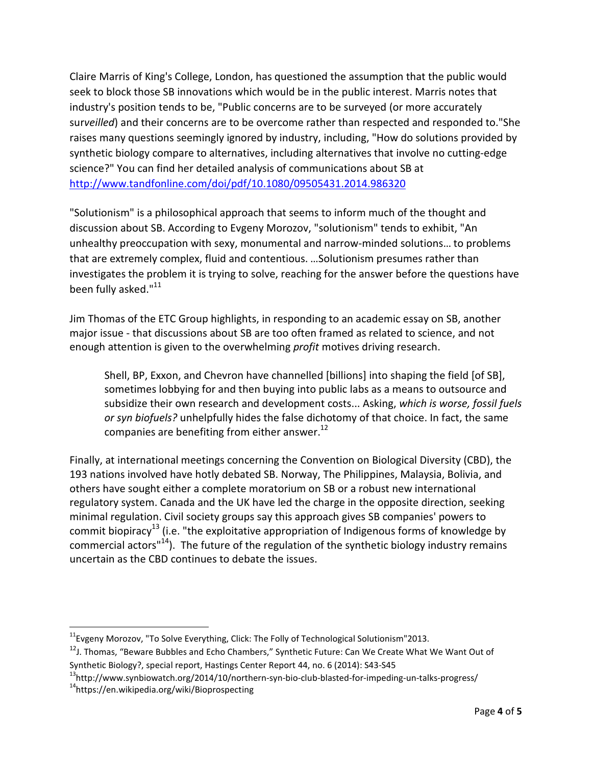Claire Marris of King's College, London, has questioned the assumption that the public would seek to block those SB innovations which would be in the public interest. Marris notes that industry's position tends to be, "Public concerns are to be surveyed (or more accurately sur*veilled*) and their concerns are to be overcome rather than respected and responded to."She raises many questions seemingly ignored by industry, including, "How do solutions provided by synthetic biology compare to alternatives, including alternatives that involve no cutting-edge science?" You can find her detailed analysis of communications about SB at http://www.tandfonline.com/doi/pdf/10.1080/09505431.2014.986320

"Solutionism" is a philosophical approach that seems to inform much of the thought and discussion about SB. According to Evgeny Morozov, "solutionism" tends to exhibit, "An unhealthy preoccupation with sexy, monumental and narrow-minded solutions… to problems that are extremely complex, fluid and contentious. …Solutionism presumes rather than investigates the problem it is trying to solve, reaching for the answer before the questions have been fully asked."<sup>11</sup>

Jim Thomas of the ETC Group highlights, in responding to an academic essay on SB, another major issue - that discussions about SB are too often framed as related to science, and not enough attention is given to the overwhelming *profit* motives driving research.

Shell, BP, Exxon, and Chevron have channelled [billions] into shaping the field [of SB], sometimes lobbying for and then buying into public labs as a means to outsource and subsidize their own research and development costs... Asking, *which is worse, fossil fuels or syn biofuels?* unhelpfully hides the false dichotomy of that choice. In fact, the same companies are benefiting from either answer. $^{12}$ 

Finally, at international meetings concerning the Convention on Biological Diversity (CBD), the 193 nations involved have hotly debated SB. Norway, The Philippines, Malaysia, Bolivia, and others have sought either a complete moratorium on SB or a robust new international regulatory system. Canada and the UK have led the charge in the opposite direction, seeking minimal regulation. Civil society groups say this approach gives SB companies' powers to commit biopiracy<sup>13</sup> (i.e. "the exploitative appropriation of Indigenous forms of knowledge by commercial actors<sup> $n^{14}$ </sup>). The future of the regulation of the synthetic biology industry remains uncertain as the CBD continues to debate the issues.

.<br>-

 $11$ Evgeny Morozov, "To Solve Everything, Click: The Folly of Technological Solutionism"2013.

<sup>&</sup>lt;sup>12</sup>J. Thomas, "Beware Bubbles and Echo Chambers," Synthetic Future: Can We Create What We Want Out of Synthetic Biology?, special report, Hastings Center Report 44, no. 6 (2014): S43-S45

<sup>13</sup>http://www.synbiowatch.org/2014/10/northern-syn-bio-club-blasted-for-impeding-un-talks-progress/ <sup>14</sup>https://en.wikipedia.org/wiki/Bioprospecting